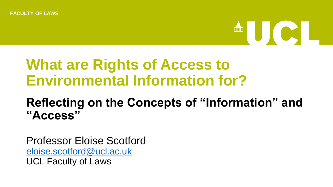

### **What are Rights of Access to Environmental Information for?**

### **Reflecting on the Concepts of "Information" and "Access"**

Professor Eloise Scotford [eloise.scotford@ucl.ac.uk](mailto:eloise.scotford@ucl.ac.uk) UCL Faculty of Laws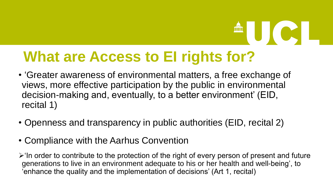### **What are Access to EI rights for?**

- 'Greater awareness of environmental matters, a free exchange of views, more effective participation by the public in environmental decision-making and, eventually, to a better environment' (EID, recital 1)
- Openness and transparency in public authorities (EID, recital 2)
- Compliance with the Aarhus Convention

➢'In order to contribute to the protection of the right of every person of present and future generations to live in an environment adequate to his or her health and well-being', to 'enhance the quality and the implementation of decisions' (Art 1, recital)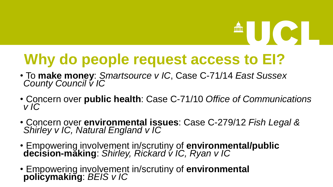# **AUCU**

### **Why do people request access to EI?**

- To **make money**: *Smartsource v IC*, Case C-71/14 *East Sussex County Council v IC*
- Concern over **public health**: Case C-71/10 *Office of Communications v IC*
- Concern over **environmental issues**: Case C-279/12 *Fish Legal & Shirley v IC, Natural England v IC*
- Empowering involvement in/scrutiny of **environmental/public decision-making**: *Shirley, Rickard v IC, Ryan v IC*
- Empowering involvement in/scrutiny of **environmental policymaking**: *BEIS v IC*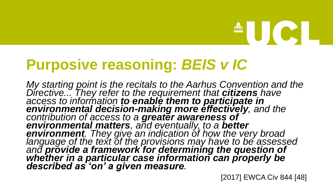# **AUCLE**

### **Purposive reasoning:** *BEIS v IC*

*My starting point is the recitals to the Aarhus Convention and the Directive... They refer to the requirement that citizens have access to information to enable them to participate in environmental decision-making more effectively, and the contribution of access to a greater awareness of environmental matters, and eventually, to a better environment. They give an indication of how the very broad language of the text of the provisions may have to be assessed and provide a framework for determining the question of whether in a particular case information can properly be described as 'on' a given measure.* 

[2017] EWCA Civ 844 [48]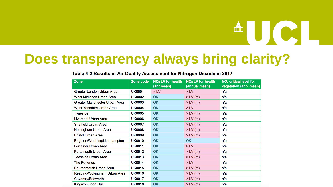### **Does transparency always bring clarity?**

| <b>Zone</b>                     | Zone code     | NO <sub>2</sub> LV for health<br>(1hr mean) | NO <sub>2</sub> LV for health<br>(annual mean) | NO <sub>x</sub> critical level for<br>vegetation (ann. mean) |  |
|---------------------------------|---------------|---------------------------------------------|------------------------------------------------|--------------------------------------------------------------|--|
| Greater London Urban Area       | <b>UK0001</b> | $>$ LV                                      | $>$ LV                                         | n/a                                                          |  |
| West Midlands Urban Area        | <b>UK0002</b> | <b>OK</b>                                   | $>$ LV (m)                                     | n/a                                                          |  |
| Greater Manchester Urban Area   | <b>UK0003</b> | <b>OK</b>                                   | $> LV$ (m)                                     | n/a                                                          |  |
| West Yorkshire Urban Area       | <b>UK0004</b> | <b>OK</b>                                   | $>$ LV                                         | n/a                                                          |  |
| <b>Tyneside</b>                 | <b>UK0005</b> | <b>OK</b>                                   | $>$ LV (m)                                     | n/a                                                          |  |
| Liverpool Urban Area            | <b>UK0006</b> | <b>OK</b>                                   | $>$ LV (m)                                     | n/a                                                          |  |
| Sheffield Urban Area            | <b>UK0007</b> | <b>OK</b>                                   | $> LV$ (m)                                     | n/a                                                          |  |
| Nottingham Urban Area           | <b>UK0008</b> | <b>OK</b>                                   | $>$ LV (m)                                     | n/a                                                          |  |
| <b>Bristol Urban Area</b>       | <b>UK0009</b> | <b>OK</b>                                   | $>$ LV (m)                                     | n/a                                                          |  |
| Brighton/Worthing/Littlehampton | <b>UK0010</b> | <b>OK</b>                                   | <b>OK</b>                                      | n/a                                                          |  |
| Leicester Urban Area            | <b>UK0011</b> | <b>OK</b>                                   | $>$ LV                                         | n/a                                                          |  |
| Portsmouth Urban Area           | <b>UK0012</b> | <b>OK</b>                                   | $>$ LV (m)                                     | n/a                                                          |  |
| <b>Teesside Urban Area</b>      | <b>UK0013</b> | <b>OK</b>                                   | $>$ LV (m)                                     | n/a                                                          |  |
| <b>The Potteries</b>            | <b>UK0014</b> | <b>OK</b>                                   | $>$ LV                                         | n/a                                                          |  |
| Bournemouth Urban Area          | <b>UK0015</b> | OK                                          | $>$ LV (m)                                     | n/a                                                          |  |
| Reading/Wokingham Urban Area    | <b>UK0016</b> | <b>OK</b>                                   | $>$ LV (m)                                     | n/a                                                          |  |
| Coventry/Bedworth               | <b>UK0017</b> | <b>OK</b>                                   | $> LV$ (m)                                     | n/a                                                          |  |
| Kingston upon Hull              | <b>UK0018</b> | <b>OK</b>                                   | $> LV$ (m)                                     | n/a                                                          |  |

#### Table 4-2 Results of Air Quality Assessment for Nitrogen Dioxide in 2017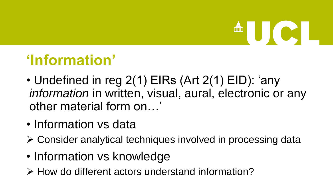# **AUCIE**

### **'Information'**

- Undefined in reg 2(1) EIRs (Art 2(1) EID): 'any *information* in written, visual, aural, electronic or any other material form on…'
- Information vs data
- ➢ Consider analytical techniques involved in processing data
- Information vs knowledge
- ➢ How do different actors understand information?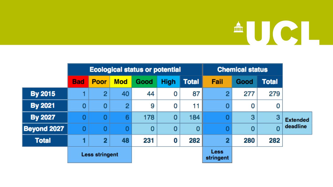## AUCL

|                    | <b>Ecological status or potential</b> |                |            |      |             |                          | <b>Chemical status</b> |      |                |                 |
|--------------------|---------------------------------------|----------------|------------|------|-------------|--------------------------|------------------------|------|----------------|-----------------|
|                    | <b>Bad</b>                            | <b>Poor</b>    | <b>Mod</b> | Good | <b>High</b> | <b>Total</b>             | Fail                   | Good | <b>Total</b>   |                 |
| <b>By 2015</b>     |                                       | $\overline{2}$ | 40         | 44   | 0           | 87                       | 2                      | 277  | 279            |                 |
| <b>By 2021</b>     | 0                                     | 0              | 2          | 9    | 0           | 11                       | 0                      | 0    | 0              |                 |
| <b>By 2027</b>     | 0                                     | 0              | 6          | 178  | $\mathbf 0$ | 184                      | 0                      | 3    | 3              | <b>Extended</b> |
| <b>Beyond 2027</b> | O                                     | $\bf{0}$       |            | 0    | $\mathbf 0$ | 0                        | 0                      | 0    | $\overline{0}$ | deadline        |
| <b>Total</b>       | 1                                     | $\overline{2}$ | 48         | 231  | 0           | 282                      | $\overline{2}$         | 280  | 282            |                 |
|                    | <b>Less stringent</b>                 |                |            |      |             | <b>Less</b><br>stringent |                        |      |                |                 |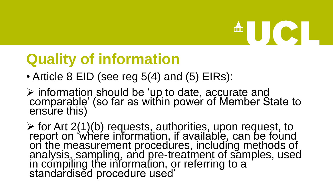# **AUCL**

### **Quality of information**

- Article 8 EID (see reg 5(4) and (5) EIRs):
- ➢ information should be 'up to date, accurate and comparable' (so far as within power of Member State to ensure this)

 $\triangleright$  for Art 2(1)(b) requests, authorities, upon request, to report on 'where information, if available, can be found on the measurement procedures, including methods of analysis, sampling, and pre-treatment of samples, used in compiling the information, or referring to a standardised procedure used'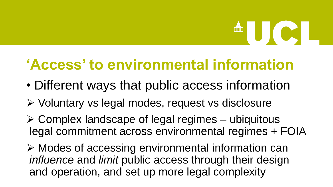# 

### **'Access' to environmental information**

- Different ways that public access information
- ➢ Voluntary vs legal modes, request vs disclosure
- $\triangleright$  Complex landscape of legal regimes ubiquitous legal commitment across environmental regimes + FOIA
- ➢ Modes of accessing environmental information can *influence* and *limit* public access through their design and operation, and set up more legal complexity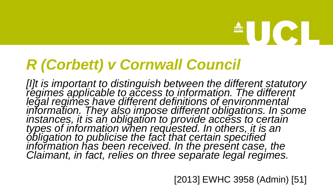### *R (Corbett) v Cornwall Council*

*[I]t is important to distinguish between the different statutory regimes applicable to access to information. The different legal regimes have different definitions of environmental information. They also impose different obligations. In some instances, it is an obligation to provide access to certain types of information when requested. In others, it is an obligation to publicise the fact that certain specified information has been received. In the present case, the Claimant, in fact, relies on three separate legal regimes.* 

[2013] EWHC 3958 (Admin) [51]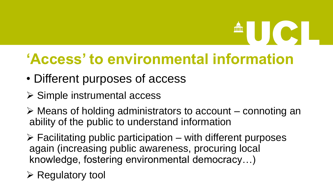# **ENGLES**

### **'Access' to environmental information**

- Different purposes of access
- ➢ Simple instrumental access
- ➢ Means of holding administrators to account connoting an ability of the public to understand information
- $\triangleright$  Facilitating public participation with different purposes again (increasing public awareness, procuring local knowledge, fostering environmental democracy…)
- $\triangleright$  Regulatory tool